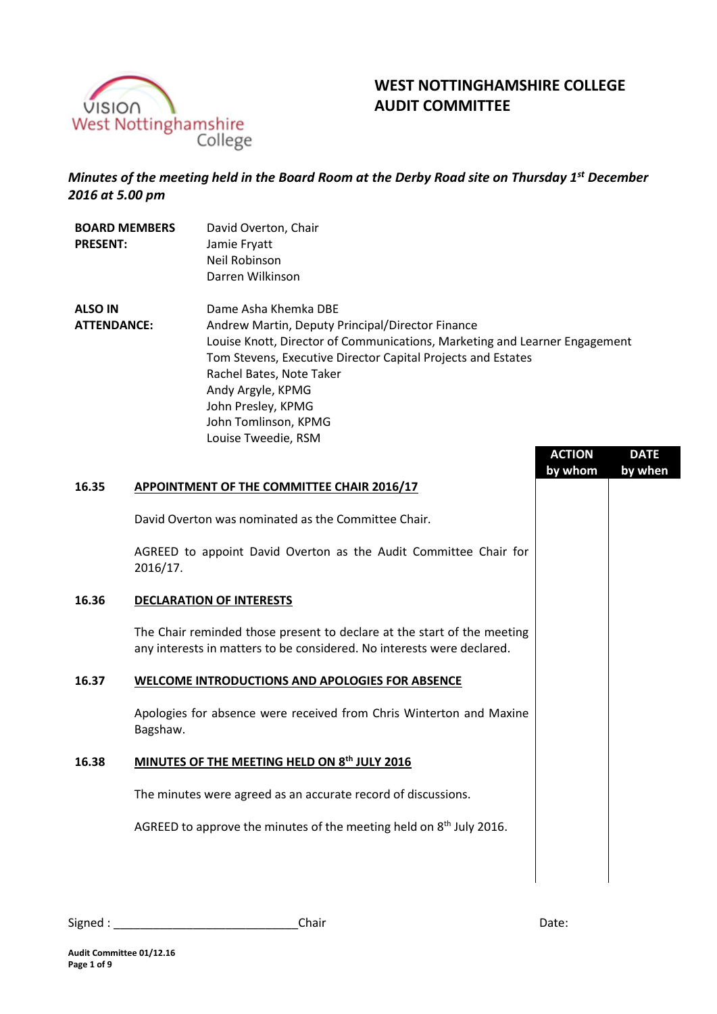

# **WEST NOTTINGHAMSHIRE COLLEGE AUDIT COMMITTEE**

*Minutes of the meeting held in the Board Room at the Derby Road site on Thursday 1st December 2016 at 5.00 pm*

| <b>BOARD MEMBERS</b> |  | David Overton, Chair                                                       |               |             |
|----------------------|--|----------------------------------------------------------------------------|---------------|-------------|
| <b>PRESENT:</b>      |  | Jamie Fryatt                                                               |               |             |
|                      |  | Neil Robinson                                                              |               |             |
|                      |  | Darren Wilkinson                                                           |               |             |
| <b>ALSO IN</b>       |  | Dame Asha Khemka DBE                                                       |               |             |
| <b>ATTENDANCE:</b>   |  | Andrew Martin, Deputy Principal/Director Finance                           |               |             |
|                      |  | Louise Knott, Director of Communications, Marketing and Learner Engagement |               |             |
|                      |  | Tom Stevens, Executive Director Capital Projects and Estates               |               |             |
|                      |  | Rachel Bates, Note Taker                                                   |               |             |
|                      |  | Andy Argyle, KPMG                                                          |               |             |
|                      |  | John Presley, KPMG                                                         |               |             |
|                      |  | John Tomlinson, KPMG                                                       |               |             |
|                      |  | Louise Tweedie, RSM                                                        |               |             |
|                      |  |                                                                            | <b>ACTION</b> | <b>DATE</b> |
|                      |  |                                                                            | by whom       | by when     |
| 16.35                |  | <b>APPOINTMENT OF THE COMMITTEE CHAIR 2016/17</b>                          |               |             |
|                      |  | David Overton was nominated as the Committee Chair.                        |               |             |
|                      |  | AGREED to appoint David Overton as the Audit Committee Chair for           |               |             |

# **16.36 DECLARATION OF INTERESTS**

2016/17.

The Chair reminded those present to declare at the start of the meeting any interests in matters to be considered. No interests were declared.

## **16.37 WELCOME INTRODUCTIONS AND APOLOGIES FOR ABSENCE**

Apologies for absence were received from Chris Winterton and Maxine Bagshaw.

## **16.38 MINUTES OF THE MEETING HELD ON 8th JULY 2016**

The minutes were agreed as an accurate record of discussions.

AGREED to approve the minutes of the meeting held on 8<sup>th</sup> July 2016.

| Signed | Lhair | Date: |
|--------|-------|-------|
|--------|-------|-------|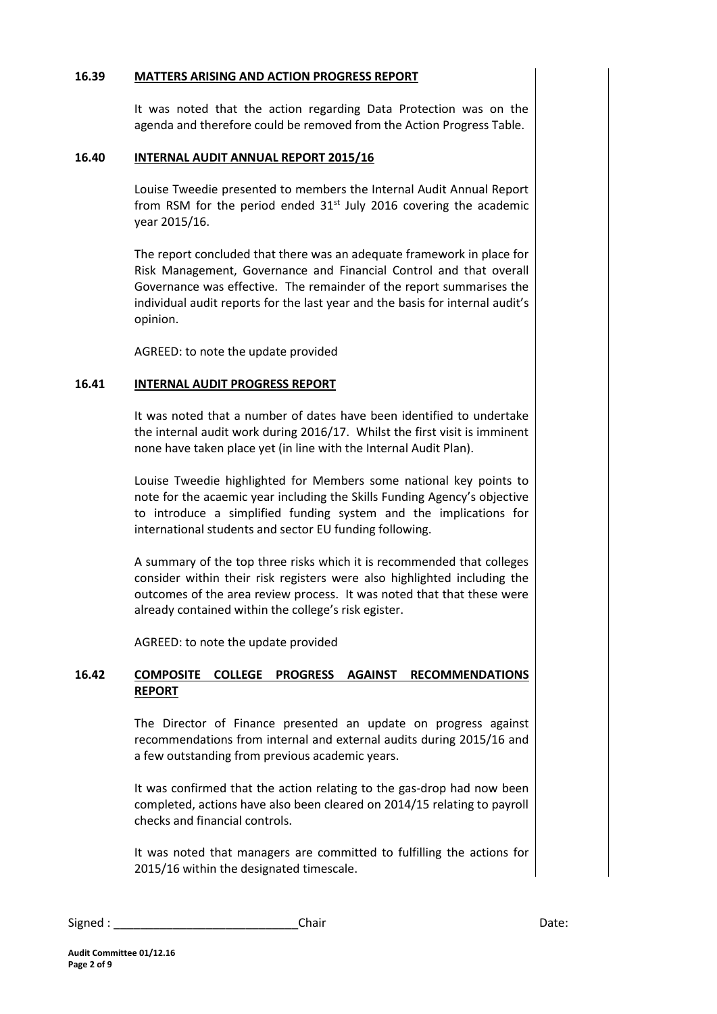#### **16.39 MATTERS ARISING AND ACTION PROGRESS REPORT**

It was noted that the action regarding Data Protection was on the agenda and therefore could be removed from the Action Progress Table.

#### **16.40 INTERNAL AUDIT ANNUAL REPORT 2015/16**

Louise Tweedie presented to members the Internal Audit Annual Report from RSM for the period ended  $31<sup>st</sup>$  July 2016 covering the academic year 2015/16.

The report concluded that there was an adequate framework in place for Risk Management, Governance and Financial Control and that overall Governance was effective. The remainder of the report summarises the individual audit reports for the last year and the basis for internal audit's opinion.

AGREED: to note the update provided

#### **16.41 INTERNAL AUDIT PROGRESS REPORT**

It was noted that a number of dates have been identified to undertake the internal audit work during 2016/17. Whilst the first visit is imminent none have taken place yet (in line with the Internal Audit Plan).

Louise Tweedie highlighted for Members some national key points to note for the acaemic year including the Skills Funding Agency's objective to introduce a simplified funding system and the implications for international students and sector EU funding following.

A summary of the top three risks which it is recommended that colleges consider within their risk registers were also highlighted including the outcomes of the area review process. It was noted that that these were already contained within the college's risk egister.

AGREED: to note the update provided

# **16.42 COMPOSITE COLLEGE PROGRESS AGAINST RECOMMENDATIONS REPORT**

The Director of Finance presented an update on progress against recommendations from internal and external audits during 2015/16 and a few outstanding from previous academic years.

It was confirmed that the action relating to the gas-drop had now been completed, actions have also been cleared on 2014/15 relating to payroll checks and financial controls.

It was noted that managers are committed to fulfilling the actions for 2015/16 within the designated timescale.

| Signed | Chair | Date: |
|--------|-------|-------|
|        |       |       |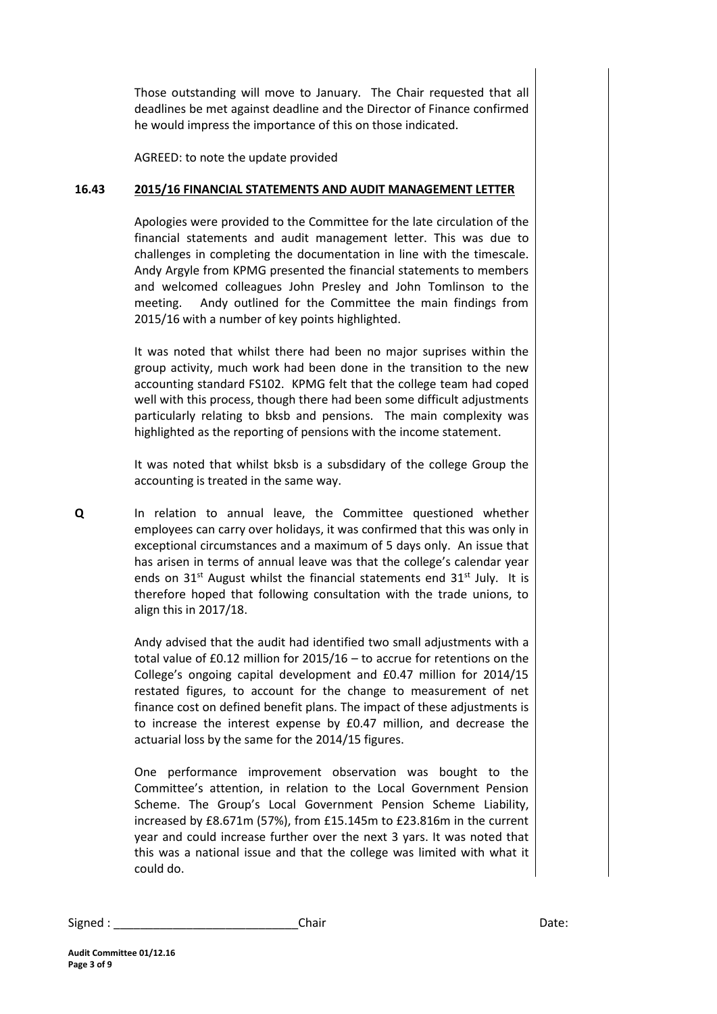Those outstanding will move to January. The Chair requested that all deadlines be met against deadline and the Director of Finance confirmed he would impress the importance of this on those indicated.

AGREED: to note the update provided

#### **16.43 2015/16 FINANCIAL STATEMENTS AND AUDIT MANAGEMENT LETTER**

Apologies were provided to the Committee for the late circulation of the financial statements and audit management letter. This was due to challenges in completing the documentation in line with the timescale. Andy Argyle from KPMG presented the financial statements to members and welcomed colleagues John Presley and John Tomlinson to the meeting. Andy outlined for the Committee the main findings from 2015/16 with a number of key points highlighted.

It was noted that whilst there had been no major suprises within the group activity, much work had been done in the transition to the new accounting standard FS102. KPMG felt that the college team had coped well with this process, though there had been some difficult adjustments particularly relating to bksb and pensions. The main complexity was highlighted as the reporting of pensions with the income statement.

It was noted that whilst bksb is a subsdidary of the college Group the accounting is treated in the same way.

**Q** In relation to annual leave, the Committee questioned whether employees can carry over holidays, it was confirmed that this was only in exceptional circumstances and a maximum of 5 days only. An issue that has arisen in terms of annual leave was that the college's calendar year ends on  $31^{st}$  August whilst the financial statements end  $31^{st}$  July. It is therefore hoped that following consultation with the trade unions, to align this in 2017/18.

> Andy advised that the audit had identified two small adjustments with a total value of £0.12 million for 2015/16 – to accrue for retentions on the College's ongoing capital development and £0.47 million for 2014/15 restated figures, to account for the change to measurement of net finance cost on defined benefit plans. The impact of these adjustments is to increase the interest expense by £0.47 million, and decrease the actuarial loss by the same for the 2014/15 figures.

> One performance improvement observation was bought to the Committee's attention, in relation to the Local Government Pension Scheme. The Group's Local Government Pension Scheme Liability, increased by £8.671m (57%), from £15.145m to £23.816m in the current year and could increase further over the next 3 yars. It was noted that this was a national issue and that the college was limited with what it could do.

Signed : \_\_\_\_\_\_\_\_\_\_\_\_\_\_\_\_\_\_\_\_\_\_\_\_\_\_\_\_Chair Date: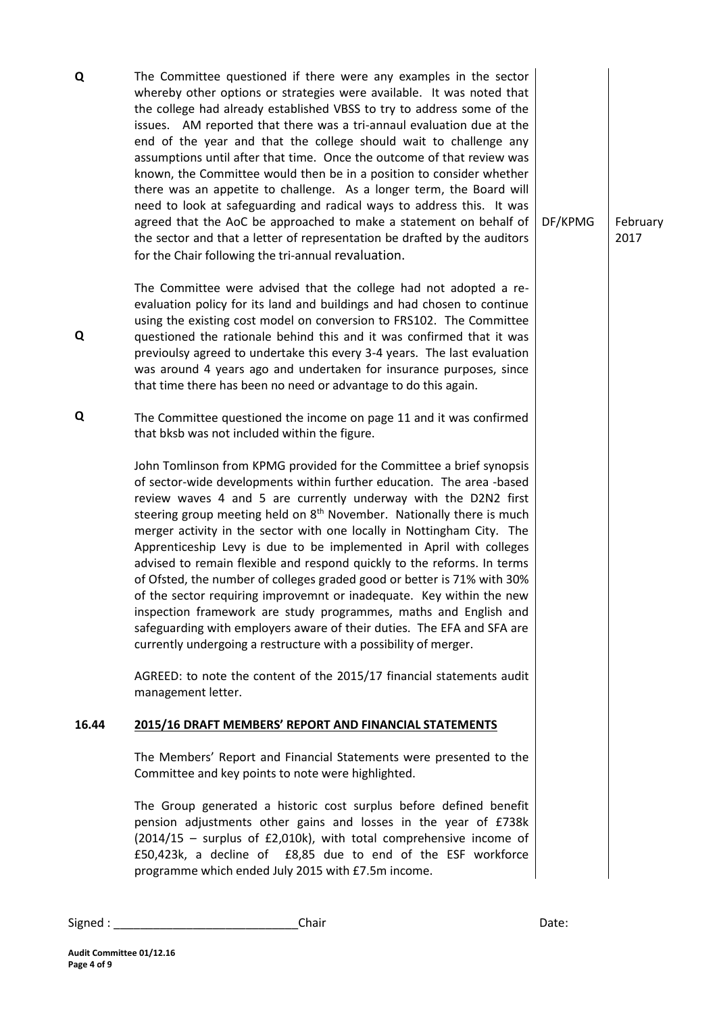| Q     | The Committee questioned if there were any examples in the sector<br>whereby other options or strategies were available. It was noted that<br>the college had already established VBSS to try to address some of the<br>issues. AM reported that there was a tri-annaul evaluation due at the<br>end of the year and that the college should wait to challenge any<br>assumptions until after that time. Once the outcome of that review was<br>known, the Committee would then be in a position to consider whether<br>there was an appetite to challenge. As a longer term, the Board will<br>need to look at safeguarding and radical ways to address this. It was<br>agreed that the AoC be approached to make a statement on behalf of<br>the sector and that a letter of representation be drafted by the auditors<br>for the Chair following the tri-annual revaluation.                                                                                                                                                                                                                                               | DF/KPMG | February<br>2017 |
|-------|-------------------------------------------------------------------------------------------------------------------------------------------------------------------------------------------------------------------------------------------------------------------------------------------------------------------------------------------------------------------------------------------------------------------------------------------------------------------------------------------------------------------------------------------------------------------------------------------------------------------------------------------------------------------------------------------------------------------------------------------------------------------------------------------------------------------------------------------------------------------------------------------------------------------------------------------------------------------------------------------------------------------------------------------------------------------------------------------------------------------------------|---------|------------------|
| Q     | The Committee were advised that the college had not adopted a re-<br>evaluation policy for its land and buildings and had chosen to continue<br>using the existing cost model on conversion to FRS102. The Committee<br>questioned the rationale behind this and it was confirmed that it was<br>previoulsy agreed to undertake this every 3-4 years. The last evaluation<br>was around 4 years ago and undertaken for insurance purposes, since<br>that time there has been no need or advantage to do this again.                                                                                                                                                                                                                                                                                                                                                                                                                                                                                                                                                                                                           |         |                  |
| Q     | The Committee questioned the income on page 11 and it was confirmed<br>that bksb was not included within the figure.<br>John Tomlinson from KPMG provided for the Committee a brief synopsis<br>of sector-wide developments within further education. The area -based<br>review waves 4 and 5 are currently underway with the D2N2 first<br>steering group meeting held on 8 <sup>th</sup> November. Nationally there is much<br>merger activity in the sector with one locally in Nottingham City. The<br>Apprenticeship Levy is due to be implemented in April with colleges<br>advised to remain flexible and respond quickly to the reforms. In terms<br>of Ofsted, the number of colleges graded good or better is 71% with 30%<br>of the sector requiring improvemnt or inadequate. Key within the new<br>inspection framework are study programmes, maths and English and<br>safeguarding with employers aware of their duties. The EFA and SFA are<br>currently undergoing a restructure with a possibility of merger.<br>AGREED: to note the content of the 2015/17 financial statements audit<br>management letter. |         |                  |
| 16.44 | 2015/16 DRAFT MEMBERS' REPORT AND FINANCIAL STATEMENTS                                                                                                                                                                                                                                                                                                                                                                                                                                                                                                                                                                                                                                                                                                                                                                                                                                                                                                                                                                                                                                                                        |         |                  |
|       | The Members' Report and Financial Statements were presented to the<br>Committee and key points to note were highlighted.<br>The Group generated a historic cost surplus before defined benefit<br>pension adjustments other gains and losses in the year of £738k<br>(2014/15 - surplus of £2,010k), with total comprehensive income of<br>£50,423k, a decline of £8,85 due to end of the ESF workforce<br>programme which ended July 2015 with £7.5m income.                                                                                                                                                                                                                                                                                                                                                                                                                                                                                                                                                                                                                                                                 |         |                  |

| Signed<br>Ihair<br>_____ | ,,,,,<br>Udle. |
|--------------------------|----------------|
|--------------------------|----------------|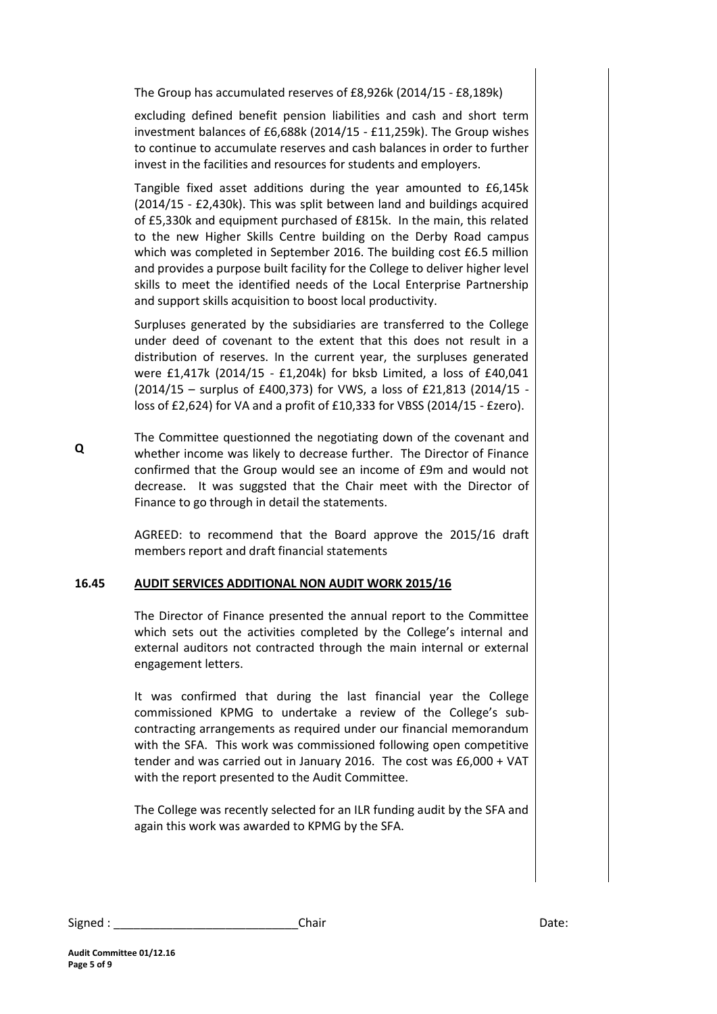The Group has accumulated reserves of £8,926k (2014/15 - £8,189k)

excluding defined benefit pension liabilities and cash and short term investment balances of £6,688k (2014/15 - £11,259k). The Group wishes to continue to accumulate reserves and cash balances in order to further invest in the facilities and resources for students and employers.

Tangible fixed asset additions during the year amounted to £6,145k (2014/15 - £2,430k). This was split between land and buildings acquired of £5,330k and equipment purchased of £815k. In the main, this related to the new Higher Skills Centre building on the Derby Road campus which was completed in September 2016. The building cost £6.5 million and provides a purpose built facility for the College to deliver higher level skills to meet the identified needs of the Local Enterprise Partnership and support skills acquisition to boost local productivity.

Surpluses generated by the subsidiaries are transferred to the College under deed of covenant to the extent that this does not result in a distribution of reserves. In the current year, the surpluses generated were £1,417k (2014/15 - £1,204k) for bksb Limited, a loss of £40,041 (2014/15 – surplus of £400,373) for VWS, a loss of £21,813 (2014/15 loss of £2,624) for VA and a profit of £10,333 for VBSS (2014/15 - £zero).

**Q** The Committee questionned the negotiating down of the covenant and whether income was likely to decrease further. The Director of Finance confirmed that the Group would see an income of £9m and would not decrease. It was suggsted that the Chair meet with the Director of Finance to go through in detail the statements.

> AGREED: to recommend that the Board approve the 2015/16 draft members report and draft financial statements

## **16.45 AUDIT SERVICES ADDITIONAL NON AUDIT WORK 2015/16**

The Director of Finance presented the annual report to the Committee which sets out the activities completed by the College's internal and external auditors not contracted through the main internal or external engagement letters.

It was confirmed that during the last financial year the College commissioned KPMG to undertake a review of the College's subcontracting arrangements as required under our financial memorandum with the SFA. This work was commissioned following open competitive tender and was carried out in January 2016. The cost was £6,000 + VAT with the report presented to the Audit Committee.

The College was recently selected for an ILR funding audit by the SFA and again this work was awarded to KPMG by the SFA.

| Signed | Chair | Date: |
|--------|-------|-------|
|        |       |       |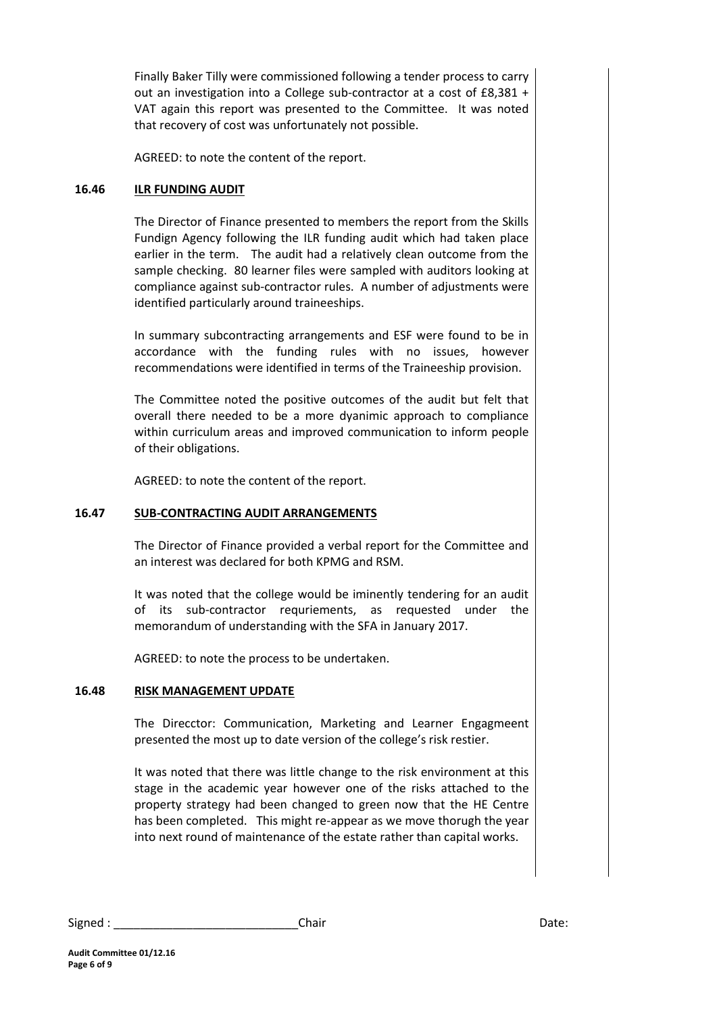Finally Baker Tilly were commissioned following a tender process to carry out an investigation into a College sub-contractor at a cost of £8,381 + VAT again this report was presented to the Committee. It was noted that recovery of cost was unfortunately not possible.

AGREED: to note the content of the report.

## **16.46 ILR FUNDING AUDIT**

The Director of Finance presented to members the report from the Skills Fundign Agency following the ILR funding audit which had taken place earlier in the term. The audit had a relatively clean outcome from the sample checking. 80 learner files were sampled with auditors looking at compliance against sub-contractor rules. A number of adjustments were identified particularly around traineeships.

In summary subcontracting arrangements and ESF were found to be in accordance with the funding rules with no issues, however recommendations were identified in terms of the Traineeship provision.

The Committee noted the positive outcomes of the audit but felt that overall there needed to be a more dyanimic approach to compliance within curriculum areas and improved communication to inform people of their obligations.

AGREED: to note the content of the report.

## **16.47 SUB-CONTRACTING AUDIT ARRANGEMENTS**

The Director of Finance provided a verbal report for the Committee and an interest was declared for both KPMG and RSM.

It was noted that the college would be iminently tendering for an audit of its sub-contractor requriements, as requested under the memorandum of understanding with the SFA in January 2017.

AGREED: to note the process to be undertaken.

# **16.48 RISK MANAGEMENT UPDATE**

The Direcctor: Communication, Marketing and Learner Engagmeent presented the most up to date version of the college's risk restier.

It was noted that there was little change to the risk environment at this stage in the academic year however one of the risks attached to the property strategy had been changed to green now that the HE Centre has been completed. This might re-appear as we move thorugh the year into next round of maintenance of the estate rather than capital works.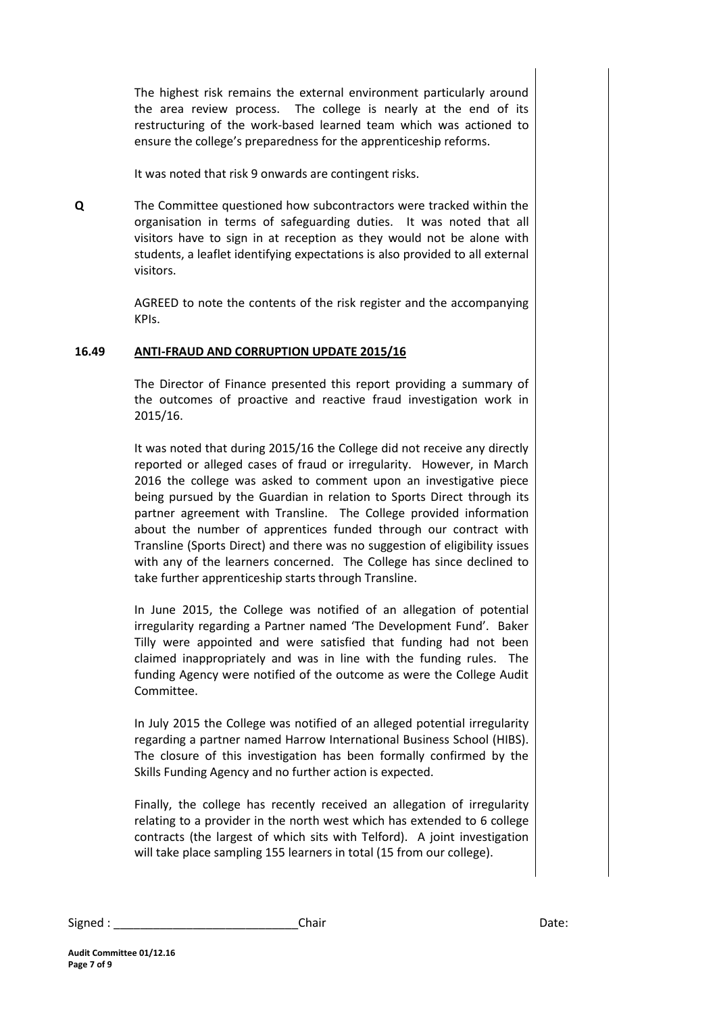The highest risk remains the external environment particularly around the area review process. The college is nearly at the end of its restructuring of the work-based learned team which was actioned to ensure the college's preparedness for the apprenticeship reforms.

It was noted that risk 9 onwards are contingent risks.

**Q** The Committee questioned how subcontractors were tracked within the organisation in terms of safeguarding duties. It was noted that all visitors have to sign in at reception as they would not be alone with students, a leaflet identifying expectations is also provided to all external visitors.

> AGREED to note the contents of the risk register and the accompanying KPIs.

## **16.49 ANTI-FRAUD AND CORRUPTION UPDATE 2015/16**

The Director of Finance presented this report providing a summary of the outcomes of proactive and reactive fraud investigation work in 2015/16.

It was noted that during 2015/16 the College did not receive any directly reported or alleged cases of fraud or irregularity. However, in March 2016 the college was asked to comment upon an investigative piece being pursued by the Guardian in relation to Sports Direct through its partner agreement with Transline. The College provided information about the number of apprentices funded through our contract with Transline (Sports Direct) and there was no suggestion of eligibility issues with any of the learners concerned. The College has since declined to take further apprenticeship starts through Transline.

In June 2015, the College was notified of an allegation of potential irregularity regarding a Partner named 'The Development Fund'. Baker Tilly were appointed and were satisfied that funding had not been claimed inappropriately and was in line with the funding rules. The funding Agency were notified of the outcome as were the College Audit Committee.

In July 2015 the College was notified of an alleged potential irregularity regarding a partner named Harrow International Business School (HIBS). The closure of this investigation has been formally confirmed by the Skills Funding Agency and no further action is expected.

Finally, the college has recently received an allegation of irregularity relating to a provider in the north west which has extended to 6 college contracts (the largest of which sits with Telford). A joint investigation will take place sampling 155 learners in total (15 from our college).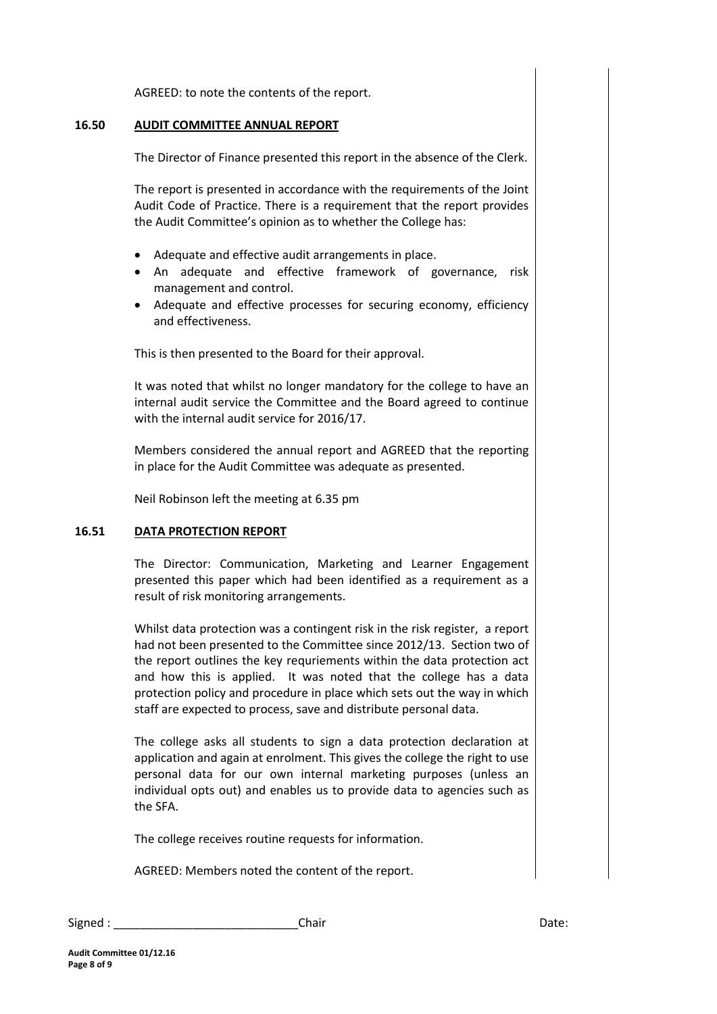AGREED: to note the contents of the report.

#### **16.50 AUDIT COMMITTEE ANNUAL REPORT**

The Director of Finance presented this report in the absence of the Clerk.

The report is presented in accordance with the requirements of the Joint Audit Code of Practice. There is a requirement that the report provides the Audit Committee's opinion as to whether the College has:

- Adequate and effective audit arrangements in place.
- An adequate and effective framework of governance, risk management and control.
- Adequate and effective processes for securing economy, efficiency and effectiveness.

This is then presented to the Board for their approval.

It was noted that whilst no longer mandatory for the college to have an internal audit service the Committee and the Board agreed to continue with the internal audit service for 2016/17.

Members considered the annual report and AGREED that the reporting in place for the Audit Committee was adequate as presented.

Neil Robinson left the meeting at 6.35 pm

#### **16.51 DATA PROTECTION REPORT**

The Director: Communication, Marketing and Learner Engagement presented this paper which had been identified as a requirement as a result of risk monitoring arrangements.

Whilst data protection was a contingent risk in the risk register, a report had not been presented to the Committee since 2012/13. Section two of the report outlines the key requriements within the data protection act and how this is applied. It was noted that the college has a data protection policy and procedure in place which sets out the way in which staff are expected to process, save and distribute personal data.

The college asks all students to sign a data protection declaration at application and again at enrolment. This gives the college the right to use personal data for our own internal marketing purposes (unless an individual opts out) and enables us to provide data to agencies such as the SFA.

The college receives routine requests for information.

AGREED: Members noted the content of the report.

Signed : \_\_\_\_\_\_\_\_\_\_\_\_\_\_\_\_\_\_\_\_\_\_\_\_\_\_\_\_Chair Date: